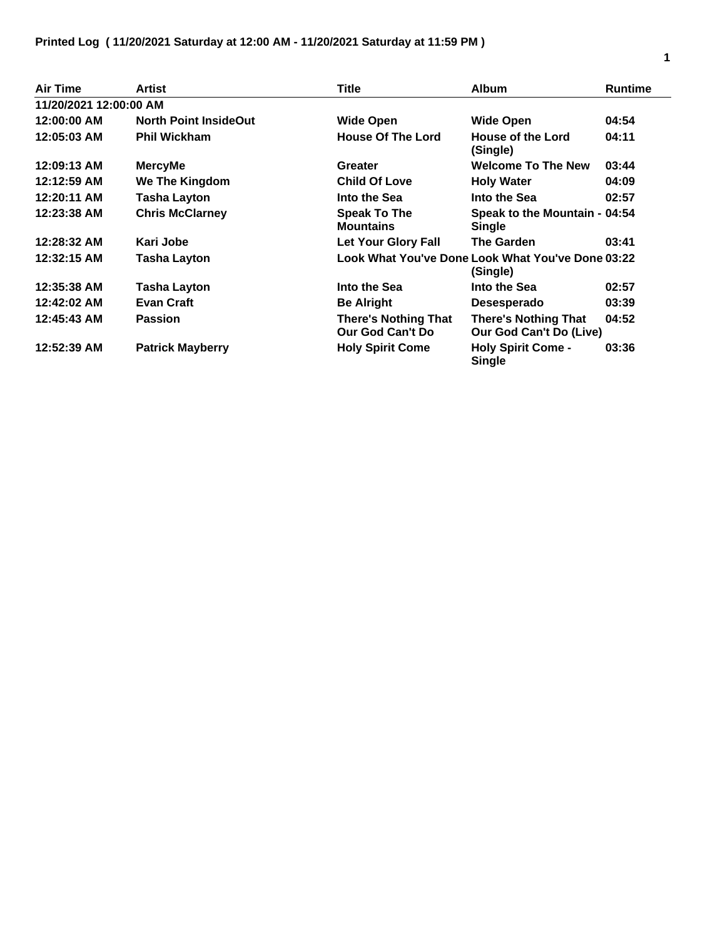| <b>Air Time</b>        | <b>Artist</b>                | <b>Title</b>                                           | <b>Album</b>                                                  | <b>Runtime</b> |
|------------------------|------------------------------|--------------------------------------------------------|---------------------------------------------------------------|----------------|
| 11/20/2021 12:00:00 AM |                              |                                                        |                                                               |                |
| 12:00:00 AM            | <b>North Point InsideOut</b> | <b>Wide Open</b>                                       | <b>Wide Open</b>                                              | 04:54          |
| 12:05:03 AM            | <b>Phil Wickham</b>          | <b>House Of The Lord</b>                               | House of the Lord<br>(Single)                                 | 04:11          |
| 12:09:13 AM            | <b>MercyMe</b>               | Greater                                                | <b>Welcome To The New</b>                                     | 03:44          |
| 12:12:59 AM            | We The Kingdom               | <b>Child Of Love</b>                                   | <b>Holy Water</b>                                             | 04:09          |
| 12:20:11 AM            | <b>Tasha Layton</b>          | Into the Sea                                           | Into the Sea                                                  | 02:57          |
| 12:23:38 AM            | <b>Chris McClarney</b>       | <b>Speak To The</b><br><b>Mountains</b>                | Speak to the Mountain - 04:54<br>Single                       |                |
| 12:28:32 AM            | Kari Jobe                    | <b>Let Your Glory Fall</b>                             | The Garden                                                    | 03:41          |
| 12:32:15 AM            | <b>Tasha Layton</b>          |                                                        | Look What You've Done Look What You've Done 03:22<br>(Single) |                |
| 12:35:38 AM            | Tasha Layton                 | Into the Sea                                           | Into the Sea                                                  | 02:57          |
| 12:42:02 AM            | <b>Evan Craft</b>            | <b>Be Alright</b>                                      | Desesperado                                                   | 03:39          |
| 12:45:43 AM            | <b>Passion</b>               | <b>There's Nothing That</b><br><b>Our God Can't Do</b> | <b>There's Nothing That</b><br>Our God Can't Do (Live)        | 04:52          |
| 12:52:39 AM            | <b>Patrick Mayberry</b>      | <b>Holy Spirit Come</b>                                | <b>Holy Spirit Come -</b><br><b>Single</b>                    | 03:36          |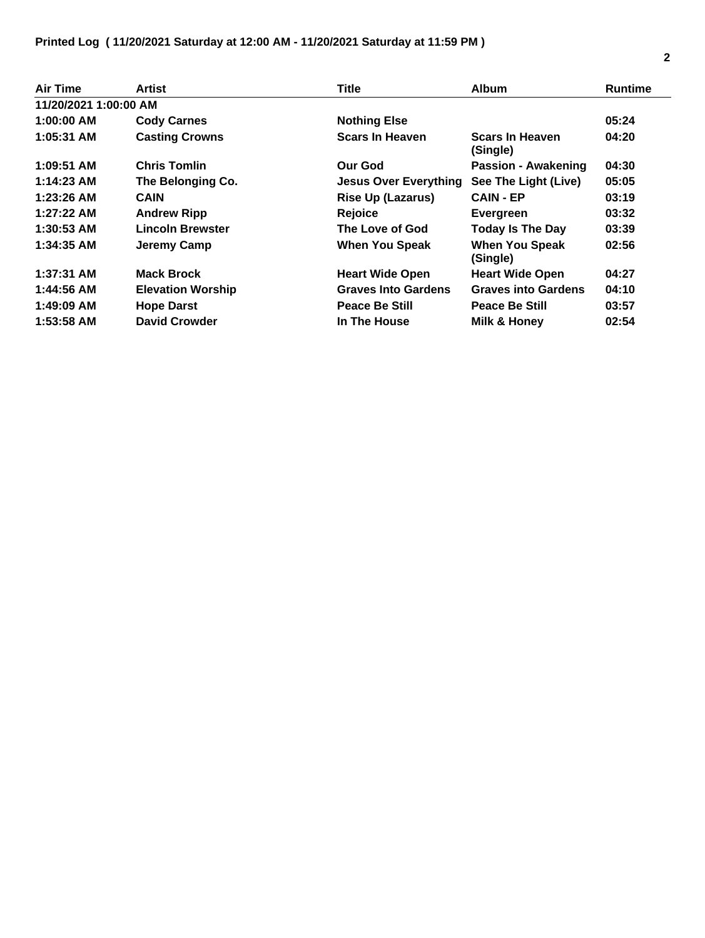| Air Time              | Artist                   | Title                        | <b>Album</b>                       | <b>Runtime</b> |
|-----------------------|--------------------------|------------------------------|------------------------------------|----------------|
| 11/20/2021 1:00:00 AM |                          |                              |                                    |                |
| $1:00:00$ AM          | <b>Cody Carnes</b>       | <b>Nothing Else</b>          |                                    | 05:24          |
| 1:05:31 AM            | <b>Casting Crowns</b>    | <b>Scars In Heaven</b>       | <b>Scars In Heaven</b><br>(Single) | 04:20          |
| 1:09:51 AM            | <b>Chris Tomlin</b>      | <b>Our God</b>               | <b>Passion - Awakening</b>         | 04:30          |
| $1:14:23$ AM          | The Belonging Co.        | <b>Jesus Over Everything</b> | See The Light (Live)               | 05:05          |
| $1:23:26$ AM          | <b>CAIN</b>              | <b>Rise Up (Lazarus)</b>     | <b>CAIN - EP</b>                   | 03:19          |
| $1:27:22$ AM          | <b>Andrew Ripp</b>       | <b>Rejoice</b>               | Evergreen                          | 03:32          |
| $1:30:53$ AM          | <b>Lincoln Brewster</b>  | The Love of God              | <b>Today Is The Day</b>            | 03:39          |
| 1:34:35 AM            | Jeremy Camp              | <b>When You Speak</b>        | <b>When You Speak</b><br>(Single)  | 02:56          |
| $1:37:31$ AM          | <b>Mack Brock</b>        | <b>Heart Wide Open</b>       | <b>Heart Wide Open</b>             | 04:27          |
| 1:44:56 AM            | <b>Elevation Worship</b> | <b>Graves Into Gardens</b>   | <b>Graves into Gardens</b>         | 04:10          |
| 1:49:09 AM            | <b>Hope Darst</b>        | <b>Peace Be Still</b>        | Peace Be Still                     | 03:57          |
| $1:53:58$ AM          | <b>David Crowder</b>     | In The House                 | Milk & Honey                       | 02:54          |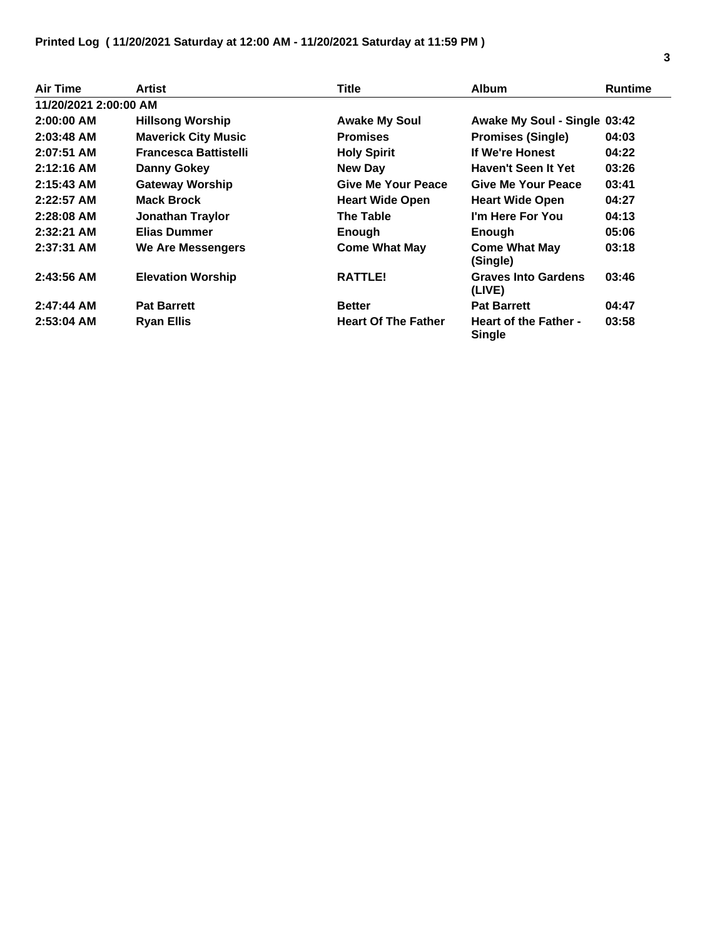| Air Time              | Artist                       | <b>Title</b>               | <b>Album</b>                           | <b>Runtime</b> |
|-----------------------|------------------------------|----------------------------|----------------------------------------|----------------|
| 11/20/2021 2:00:00 AM |                              |                            |                                        |                |
| $2:00:00$ AM          | <b>Hillsong Worship</b>      | <b>Awake My Soul</b>       | Awake My Soul - Single 03:42           |                |
| $2:03:48$ AM          | <b>Maverick City Music</b>   | <b>Promises</b>            | <b>Promises (Single)</b>               | 04:03          |
| $2:07:51$ AM          | <b>Francesca Battistelli</b> | <b>Holy Spirit</b>         | If We're Honest                        | 04:22          |
| $2:12:16$ AM          | <b>Danny Gokey</b>           | <b>New Day</b>             | Haven't Seen It Yet                    | 03:26          |
| $2:15:43$ AM          | <b>Gateway Worship</b>       | Give Me Your Peace         | Give Me Your Peace                     | 03:41          |
| $2:22:57$ AM          | <b>Mack Brock</b>            | <b>Heart Wide Open</b>     | <b>Heart Wide Open</b>                 | 04:27          |
| $2:28:08$ AM          | <b>Jonathan Traylor</b>      | <b>The Table</b>           | I'm Here For You                       | 04:13          |
| $2:32:21$ AM          | Elias Dummer                 | Enough                     | Enough                                 | 05:06          |
| $2:37:31$ AM          | We Are Messengers            | <b>Come What May</b>       | <b>Come What May</b><br>(Single)       | 03:18          |
| $2:43:56$ AM          | <b>Elevation Worship</b>     | <b>RATTLE!</b>             | <b>Graves Into Gardens</b><br>(LIVE)   | 03:46          |
| $2:47:44$ AM          | <b>Pat Barrett</b>           | <b>Better</b>              | <b>Pat Barrett</b>                     | 04:47          |
| $2:53:04$ AM          | <b>Ryan Ellis</b>            | <b>Heart Of The Father</b> | <b>Heart of the Father -</b><br>Single | 03:58          |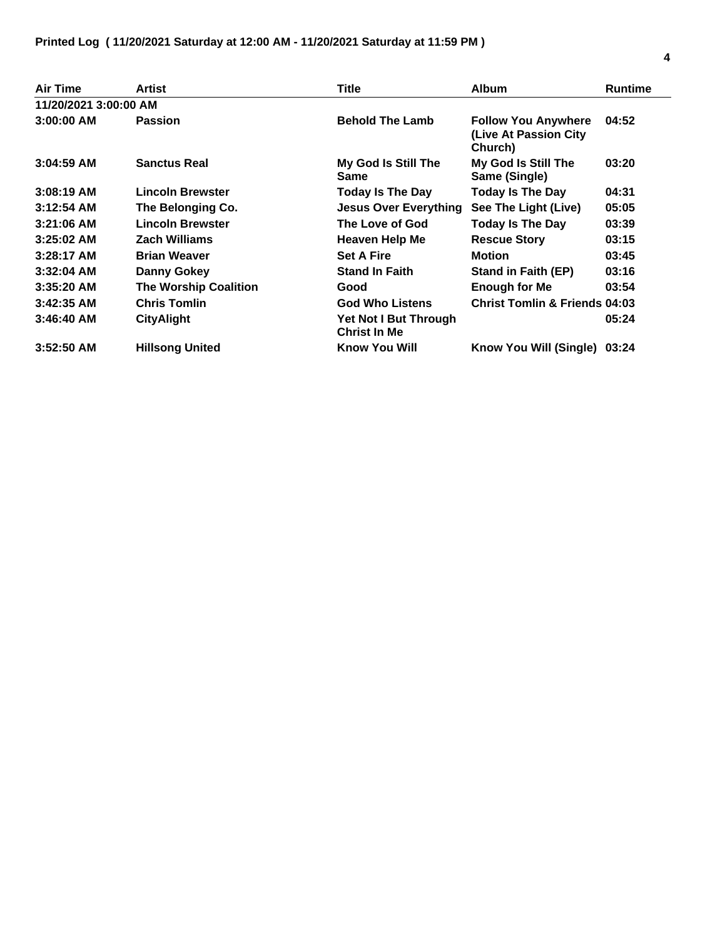| <b>Air Time</b>       | Artist                       | Title                                        | <b>Album</b>                                                   | <b>Runtime</b> |
|-----------------------|------------------------------|----------------------------------------------|----------------------------------------------------------------|----------------|
| 11/20/2021 3:00:00 AM |                              |                                              |                                                                |                |
| $3:00:00$ AM          | <b>Passion</b>               | <b>Behold The Lamb</b>                       | <b>Follow You Anywhere</b><br>(Live At Passion City<br>Church) | 04:52          |
| $3:04:59$ AM          | <b>Sanctus Real</b>          | My God Is Still The<br>Same                  | My God Is Still The<br>Same (Single)                           | 03:20          |
| $3:08:19$ AM          | <b>Lincoln Brewster</b>      | <b>Today Is The Day</b>                      | <b>Today Is The Day</b>                                        | 04:31          |
| $3:12:54$ AM          | The Belonging Co.            | <b>Jesus Over Everything</b>                 | See The Light (Live)                                           | 05:05          |
| $3:21:06$ AM          | <b>Lincoln Brewster</b>      | The Love of God                              | <b>Today Is The Day</b>                                        | 03:39          |
| $3:25:02$ AM          | <b>Zach Williams</b>         | <b>Heaven Help Me</b>                        | <b>Rescue Story</b>                                            | 03:15          |
| $3:28:17$ AM          | <b>Brian Weaver</b>          | <b>Set A Fire</b>                            | <b>Motion</b>                                                  | 03:45          |
| $3:32:04$ AM          | <b>Danny Gokey</b>           | <b>Stand In Faith</b>                        | Stand in Faith (EP)                                            | 03:16          |
| $3:35:20$ AM          | <b>The Worship Coalition</b> | Good                                         | <b>Enough for Me</b>                                           | 03:54          |
| $3:42:35$ AM          | <b>Chris Tomlin</b>          | <b>God Who Listens</b>                       | <b>Christ Tomlin &amp; Friends 04:03</b>                       |                |
| $3:46:40$ AM          | <b>CityAlight</b>            | Yet Not I But Through<br><b>Christ In Me</b> |                                                                | 05:24          |
| $3:52:50$ AM          | <b>Hillsong United</b>       | <b>Know You Will</b>                         | Know You Will (Single)                                         | 03:24          |

 $\overline{a}$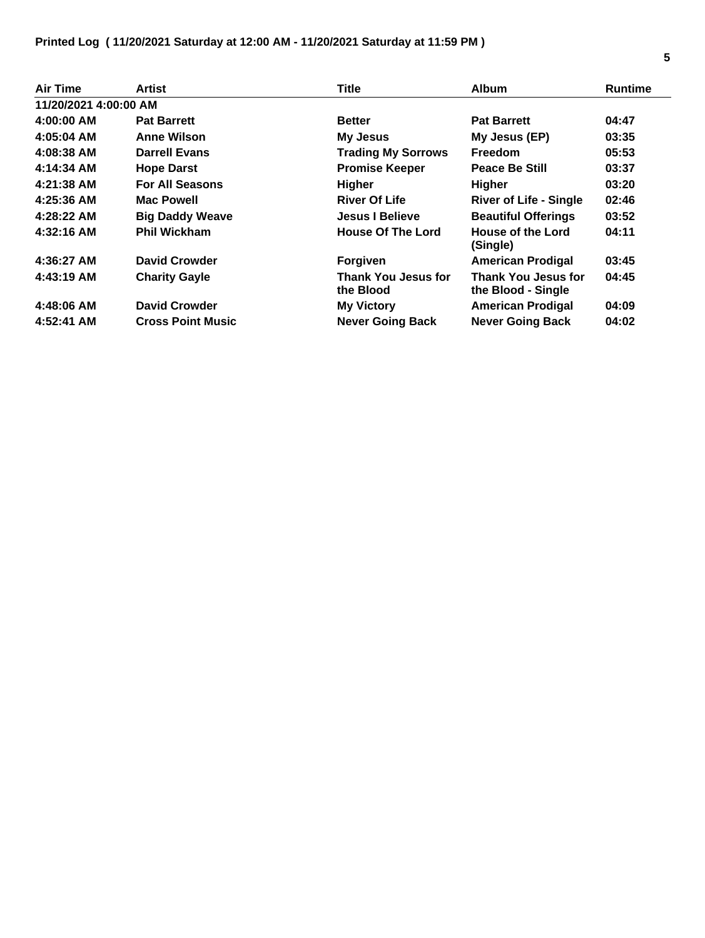| Air Time              | Artist                   | <b>Title</b>                            | <b>Album</b>                                     | <b>Runtime</b> |
|-----------------------|--------------------------|-----------------------------------------|--------------------------------------------------|----------------|
| 11/20/2021 4:00:00 AM |                          |                                         |                                                  |                |
| 4:00:00 AM            | <b>Pat Barrett</b>       | <b>Better</b>                           | <b>Pat Barrett</b>                               | 04:47          |
| 4:05:04 AM            | <b>Anne Wilson</b>       | <b>My Jesus</b>                         | My Jesus (EP)                                    | 03:35          |
| 4:08:38 AM            | <b>Darrell Evans</b>     | <b>Trading My Sorrows</b>               | <b>Freedom</b>                                   | 05:53          |
| 4:14:34 AM            | <b>Hope Darst</b>        | <b>Promise Keeper</b>                   | <b>Peace Be Still</b>                            | 03:37          |
| 4:21:38 AM            | <b>For All Seasons</b>   | <b>Higher</b>                           | <b>Higher</b>                                    | 03:20          |
| 4:25:36 AM            | <b>Mac Powell</b>        | <b>River Of Life</b>                    | <b>River of Life - Single</b>                    | 02:46          |
| 4:28:22 AM            | <b>Big Daddy Weave</b>   | <b>Jesus I Believe</b>                  | <b>Beautiful Offerings</b>                       | 03:52          |
| 4:32:16 AM            | <b>Phil Wickham</b>      | <b>House Of The Lord</b>                | House of the Lord<br>(Single)                    | 04:11          |
| 4:36:27 AM            | <b>David Crowder</b>     | Forgiven                                | <b>American Prodigal</b>                         | 03:45          |
| 4:43:19 AM            | <b>Charity Gayle</b>     | <b>Thank You Jesus for</b><br>the Blood | <b>Thank You Jesus for</b><br>the Blood - Single | 04:45          |
| 4:48:06 AM            | <b>David Crowder</b>     | <b>My Victory</b>                       | <b>American Prodigal</b>                         | 04:09          |
| 4:52:41 AM            | <b>Cross Point Music</b> | <b>Never Going Back</b>                 | <b>Never Going Back</b>                          | 04:02          |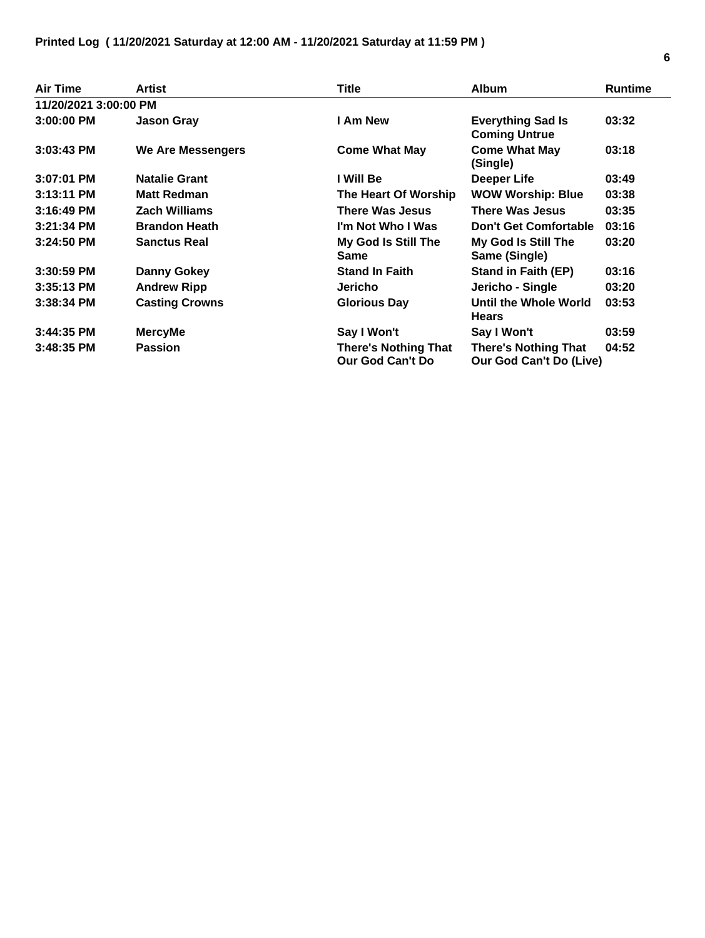| Air Time              | Artist                | Title                                           | <b>Album</b>                                                  | <b>Runtime</b> |
|-----------------------|-----------------------|-------------------------------------------------|---------------------------------------------------------------|----------------|
| 11/20/2021 3:00:00 PM |                       |                                                 |                                                               |                |
| 3:00:00 PM            | <b>Jason Gray</b>     | I Am New                                        | <b>Everything Sad Is</b><br><b>Coming Untrue</b>              | 03:32          |
| 3:03:43 PM            | We Are Messengers     | <b>Come What May</b>                            | <b>Come What May</b><br>(Single)                              | 03:18          |
| $3:07:01$ PM          | <b>Natalie Grant</b>  | I Will Be                                       | <b>Deeper Life</b>                                            | 03:49          |
| 3:13:11 PM            | <b>Matt Redman</b>    | The Heart Of Worship                            | <b>WOW Worship: Blue</b>                                      | 03:38          |
| 3:16:49 PM            | <b>Zach Williams</b>  | <b>There Was Jesus</b>                          | <b>There Was Jesus</b>                                        | 03:35          |
| 3:21:34 PM            | <b>Brandon Heath</b>  | I'm Not Who I Was                               | <b>Don't Get Comfortable</b>                                  | 03:16          |
| 3:24:50 PM            | <b>Sanctus Real</b>   | My God Is Still The<br><b>Same</b>              | My God Is Still The<br>Same (Single)                          | 03:20          |
| $3:30:59$ PM          | <b>Danny Gokey</b>    | <b>Stand In Faith</b>                           | <b>Stand in Faith (EP)</b>                                    | 03:16          |
| 3:35:13 PM            | <b>Andrew Ripp</b>    | <b>Jericho</b>                                  | Jericho - Single                                              | 03:20          |
| 3:38:34 PM            | <b>Casting Crowns</b> | <b>Glorious Day</b>                             | Until the Whole World<br><b>Hears</b>                         | 03:53          |
| 3:44:35 PM            | <b>MercyMe</b>        | Say I Won't                                     | Say I Won't                                                   | 03:59          |
| 3:48:35 PM            | <b>Passion</b>        | <b>There's Nothing That</b><br>Our God Can't Do | <b>There's Nothing That</b><br><b>Our God Can't Do (Live)</b> | 04:52          |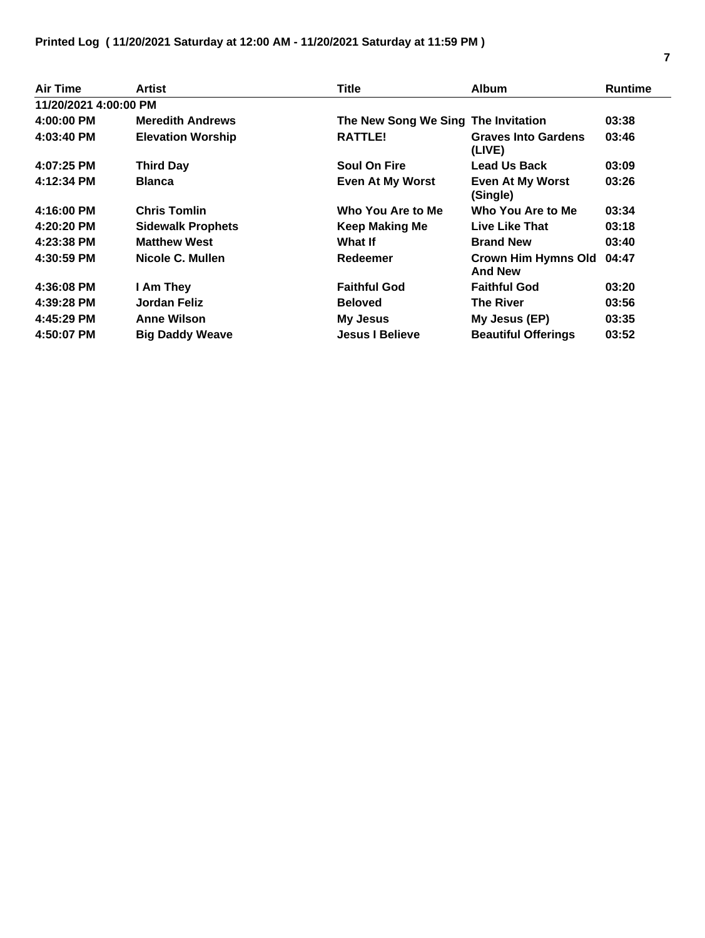| <b>Air Time</b>       | Artist                   | <b>Title</b>                        | <b>Album</b>                                 | <b>Runtime</b> |
|-----------------------|--------------------------|-------------------------------------|----------------------------------------------|----------------|
| 11/20/2021 4:00:00 PM |                          |                                     |                                              |                |
| 4:00:00 PM            | <b>Meredith Andrews</b>  | The New Song We Sing The Invitation |                                              | 03:38          |
| $4:03:40$ PM          | <b>Elevation Worship</b> | <b>RATTLE!</b>                      | <b>Graves Into Gardens</b><br>(LIVE)         | 03:46          |
| 4:07:25 PM            | <b>Third Day</b>         | <b>Soul On Fire</b>                 | <b>Lead Us Back</b>                          | 03:09          |
| 4:12:34 PM            | <b>Blanca</b>            | <b>Even At My Worst</b>             | <b>Even At My Worst</b><br>(Single)          | 03:26          |
| 4:16:00 PM            | <b>Chris Tomlin</b>      | Who You Are to Me                   | Who You Are to Me                            | 03:34          |
| 4:20:20 PM            | <b>Sidewalk Prophets</b> | <b>Keep Making Me</b>               | Live Like That                               | 03:18          |
| 4:23:38 PM            | <b>Matthew West</b>      | What If                             | <b>Brand New</b>                             | 03:40          |
| 4:30:59 PM            | Nicole C. Mullen         | <b>Redeemer</b>                     | <b>Crown Him Hymns Old</b><br><b>And New</b> | 04:47          |
| 4:36:08 PM            | I Am They                | <b>Faithful God</b>                 | <b>Faithful God</b>                          | 03:20          |
| 4:39:28 PM            | Jordan Feliz             | <b>Beloved</b>                      | The River                                    | 03:56          |
| 4:45:29 PM            | <b>Anne Wilson</b>       | <b>My Jesus</b>                     | My Jesus (EP)                                | 03:35          |
| 4:50:07 PM            | <b>Big Daddy Weave</b>   | <b>Jesus I Believe</b>              | <b>Beautiful Offerings</b>                   | 03:52          |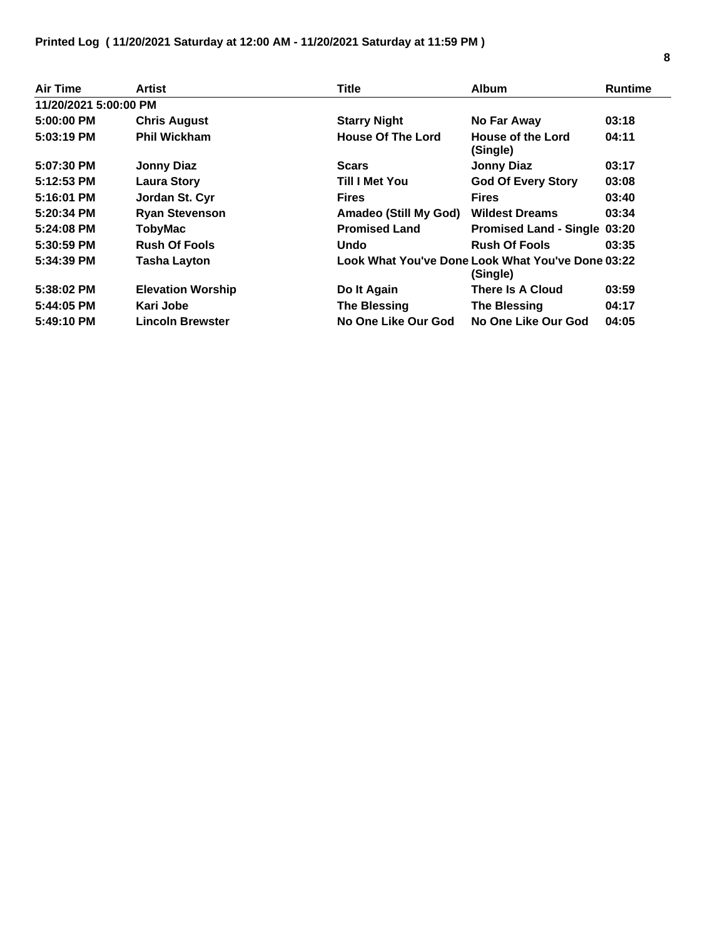| Air Time              | Artist                   | <b>Title</b>                 | <b>Album</b>                                                  | <b>Runtime</b> |
|-----------------------|--------------------------|------------------------------|---------------------------------------------------------------|----------------|
| 11/20/2021 5:00:00 PM |                          |                              |                                                               |                |
| 5:00:00 PM            | <b>Chris August</b>      | <b>Starry Night</b>          | No Far Away                                                   | 03:18          |
| $5:03:19$ PM          | <b>Phil Wickham</b>      | <b>House Of The Lord</b>     | House of the Lord<br>(Single)                                 | 04:11          |
| 5:07:30 PM            | <b>Jonny Diaz</b>        | <b>Scars</b>                 | <b>Jonny Diaz</b>                                             | 03:17          |
| 5:12:53 PM            | <b>Laura Story</b>       | Till I Met You               | <b>God Of Every Story</b>                                     | 03:08          |
| $5:16:01$ PM          | Jordan St. Cyr           | <b>Fires</b>                 | <b>Fires</b>                                                  | 03:40          |
| 5:20:34 PM            | <b>Ryan Stevenson</b>    | <b>Amadeo (Still My God)</b> | <b>Wildest Dreams</b>                                         | 03:34          |
| 5:24:08 PM            | <b>TobyMac</b>           | <b>Promised Land</b>         | <b>Promised Land - Single 03:20</b>                           |                |
| $5:30:59$ PM          | <b>Rush Of Fools</b>     | Undo                         | <b>Rush Of Fools</b>                                          | 03:35          |
| 5:34:39 PM            | <b>Tasha Layton</b>      |                              | Look What You've Done Look What You've Done 03:22<br>(Single) |                |
| 5:38:02 PM            | <b>Elevation Worship</b> | Do It Again                  | There Is A Cloud                                              | 03:59          |
| 5:44:05 PM            | Kari Jobe                | <b>The Blessing</b>          | <b>The Blessing</b>                                           | 04:17          |
| 5:49:10 PM            | <b>Lincoln Brewster</b>  | No One Like Our God          | No One Like Our God                                           | 04:05          |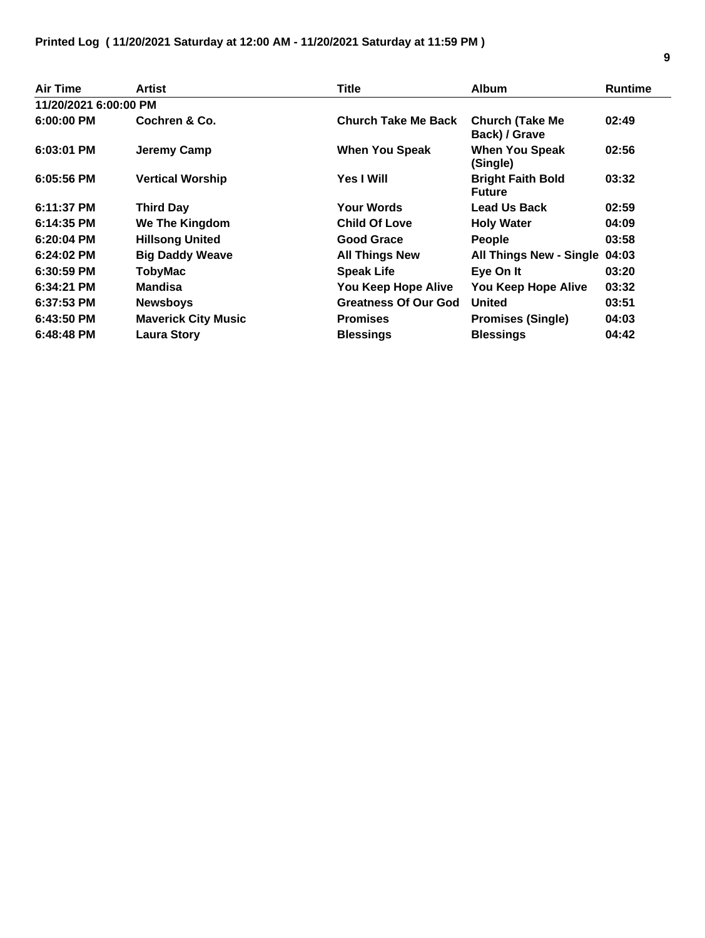| Air Time              | Artist                     | Title                       | <b>Album</b>                              | <b>Runtime</b> |
|-----------------------|----------------------------|-----------------------------|-------------------------------------------|----------------|
| 11/20/2021 6:00:00 PM |                            |                             |                                           |                |
| $6:00:00$ PM          | Cochren & Co.              | <b>Church Take Me Back</b>  | <b>Church (Take Me</b><br>Back) / Grave   | 02:49          |
| $6:03:01$ PM          | Jeremy Camp                | <b>When You Speak</b>       | <b>When You Speak</b><br>(Single)         | 02:56          |
| $6:05:56$ PM          | <b>Vertical Worship</b>    | <b>Yes I Will</b>           | <b>Bright Faith Bold</b><br><b>Future</b> | 03:32          |
| 6:11:37 PM            | <b>Third Day</b>           | <b>Your Words</b>           | <b>Lead Us Back</b>                       | 02:59          |
| 6:14:35 PM            | We The Kingdom             | <b>Child Of Love</b>        | <b>Holy Water</b>                         | 04:09          |
| $6:20:04$ PM          | <b>Hillsong United</b>     | <b>Good Grace</b>           | <b>People</b>                             | 03:58          |
| $6:24:02$ PM          | <b>Big Daddy Weave</b>     | <b>All Things New</b>       | <b>All Things New - Single</b>            | 04:03          |
| $6:30:59$ PM          | <b>TobyMac</b>             | <b>Speak Life</b>           | Eye On It                                 | 03:20          |
| $6:34:21$ PM          | <b>Mandisa</b>             | You Keep Hope Alive         | You Keep Hope Alive                       | 03:32          |
| 6:37:53 PM            | <b>Newsboys</b>            | <b>Greatness Of Our God</b> | <b>United</b>                             | 03:51          |
| 6:43:50 PM            | <b>Maverick City Music</b> | <b>Promises</b>             | <b>Promises (Single)</b>                  | 04:03          |
| $6:48:48$ PM          | <b>Laura Story</b>         | <b>Blessings</b>            | <b>Blessings</b>                          | 04:42          |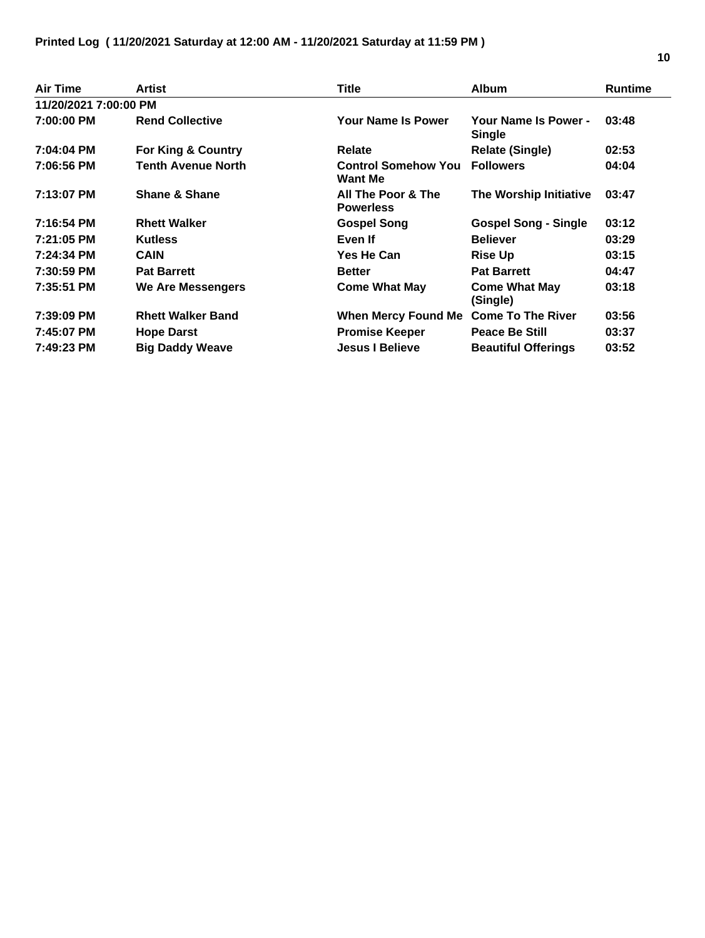| Air Time              | Artist                    | Title                                        | <b>Album</b>                          | <b>Runtime</b> |
|-----------------------|---------------------------|----------------------------------------------|---------------------------------------|----------------|
| 11/20/2021 7:00:00 PM |                           |                                              |                                       |                |
| 7:00:00 PM            | <b>Rend Collective</b>    | <b>Your Name Is Power</b>                    | Your Name Is Power -<br><b>Single</b> | 03:48          |
| 7:04:04 PM            | For King & Country        | Relate                                       | <b>Relate (Single)</b>                | 02:53          |
| 7:06:56 PM            | <b>Tenth Avenue North</b> | <b>Control Somehow You</b><br><b>Want Me</b> | <b>Followers</b>                      | 04:04          |
| 7:13:07 PM            | <b>Shane &amp; Shane</b>  | All The Poor & The<br><b>Powerless</b>       | The Worship Initiative                | 03:47          |
| 7:16:54 PM            | <b>Rhett Walker</b>       | <b>Gospel Song</b>                           | <b>Gospel Song - Single</b>           | 03:12          |
| 7:21:05 PM            | <b>Kutless</b>            | Even If                                      | <b>Believer</b>                       | 03:29          |
| 7:24:34 PM            | <b>CAIN</b>               | Yes He Can                                   | <b>Rise Up</b>                        | 03:15          |
| 7:30:59 PM            | <b>Pat Barrett</b>        | <b>Better</b>                                | <b>Pat Barrett</b>                    | 04:47          |
| 7:35:51 PM            | <b>We Are Messengers</b>  | <b>Come What May</b>                         | <b>Come What May</b><br>(Single)      | 03:18          |
| 7:39:09 PM            | <b>Rhett Walker Band</b>  | When Mercy Found Me Come To The River        |                                       | 03:56          |
| 7:45:07 PM            | <b>Hope Darst</b>         | <b>Promise Keeper</b>                        | <b>Peace Be Still</b>                 | 03:37          |
| 7:49:23 PM            | <b>Big Daddy Weave</b>    | <b>Jesus I Believe</b>                       | <b>Beautiful Offerings</b>            | 03:52          |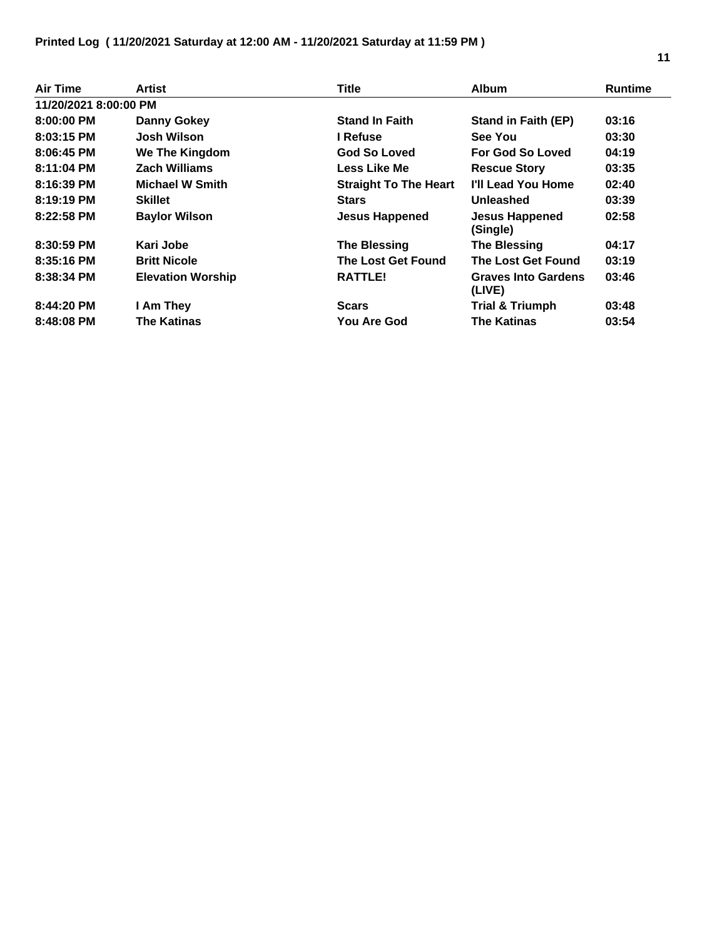| Air Time              | Artist                   | <b>Title</b>                 | <b>Album</b>                         | <b>Runtime</b> |
|-----------------------|--------------------------|------------------------------|--------------------------------------|----------------|
| 11/20/2021 8:00:00 PM |                          |                              |                                      |                |
| 8:00:00 PM            | <b>Danny Gokey</b>       | <b>Stand In Faith</b>        | <b>Stand in Faith (EP)</b>           | 03:16          |
| $8:03:15$ PM          | <b>Josh Wilson</b>       | I Refuse                     | See You                              | 03:30          |
| $8:06:45$ PM          | We The Kingdom           | <b>God So Loved</b>          | For God So Loved                     | 04:19          |
| $8:11:04$ PM          | <b>Zach Williams</b>     | Less Like Me                 | <b>Rescue Story</b>                  | 03:35          |
| 8:16:39 PM            | <b>Michael W Smith</b>   | <b>Straight To The Heart</b> | I'll Lead You Home                   | 02:40          |
| $8:19:19$ PM          | <b>Skillet</b>           | <b>Stars</b>                 | Unleashed                            | 03:39          |
| $8:22:58$ PM          | <b>Baylor Wilson</b>     | <b>Jesus Happened</b>        | <b>Jesus Happened</b><br>(Single)    | 02:58          |
| 8:30:59 PM            | Kari Jobe                | <b>The Blessing</b>          | <b>The Blessing</b>                  | 04:17          |
| $8:35:16$ PM          | <b>Britt Nicole</b>      | The Lost Get Found           | <b>The Lost Get Found</b>            | 03:19          |
| 8:38:34 PM            | <b>Elevation Worship</b> | <b>RATTLE!</b>               | <b>Graves Into Gardens</b><br>(LIVE) | 03:46          |
| 8:44:20 PM            | I Am They                | <b>Scars</b>                 | <b>Trial &amp; Triumph</b>           | 03:48          |
| $8:48:08$ PM          | The Katinas              | You Are God                  | <b>The Katinas</b>                   | 03:54          |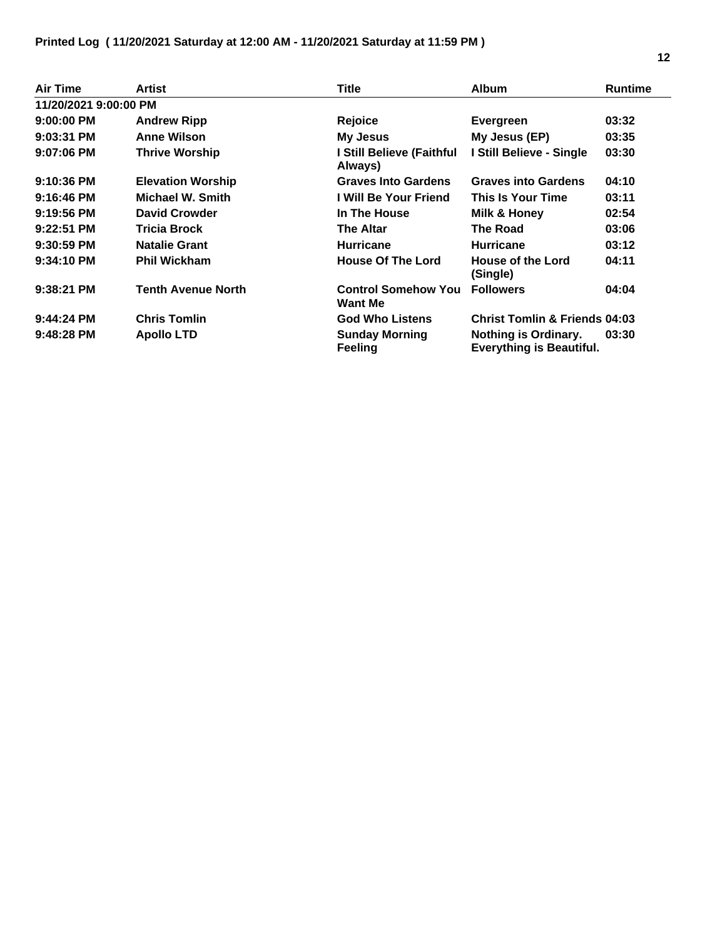| <b>Air Time</b>       | Artist                    | Title                                        | <b>Album</b>                                            | <b>Runtime</b> |
|-----------------------|---------------------------|----------------------------------------------|---------------------------------------------------------|----------------|
| 11/20/2021 9:00:00 PM |                           |                                              |                                                         |                |
| $9:00:00$ PM          | <b>Andrew Ripp</b>        | Rejoice                                      | Evergreen                                               | 03:32          |
| 9:03:31 PM            | <b>Anne Wilson</b>        | <b>My Jesus</b>                              | My Jesus (EP)                                           | 03:35          |
| $9:07:06$ PM          | <b>Thrive Worship</b>     | I Still Believe (Faithful<br>Always)         | I Still Believe - Single                                | 03:30          |
| $9:10:36$ PM          | <b>Elevation Worship</b>  | <b>Graves Into Gardens</b>                   | <b>Graves into Gardens</b>                              | 04:10          |
| $9:16:46$ PM          | Michael W. Smith          | I Will Be Your Friend                        | This Is Your Time                                       | 03:11          |
| 9:19:56 PM            | <b>David Crowder</b>      | In The House                                 | Milk & Honey                                            | 02:54          |
| $9:22:51$ PM          | <b>Tricia Brock</b>       | <b>The Altar</b>                             | <b>The Road</b>                                         | 03:06          |
| $9:30:59$ PM          | <b>Natalie Grant</b>      | <b>Hurricane</b>                             | <b>Hurricane</b>                                        | 03:12          |
| $9:34:10$ PM          | <b>Phil Wickham</b>       | <b>House Of The Lord</b>                     | <b>House of the Lord</b><br>(Single)                    | 04:11          |
| 9:38:21 PM            | <b>Tenth Avenue North</b> | <b>Control Somehow You</b><br><b>Want Me</b> | <b>Followers</b>                                        | 04:04          |
| $9:44:24$ PM          | <b>Chris Tomlin</b>       | <b>God Who Listens</b>                       | <b>Christ Tomlin &amp; Friends 04:03</b>                |                |
| $9:48:28$ PM          | <b>Apollo LTD</b>         | <b>Sunday Morning</b><br><b>Feeling</b>      | Nothing is Ordinary.<br><b>Everything is Beautiful.</b> | 03:30          |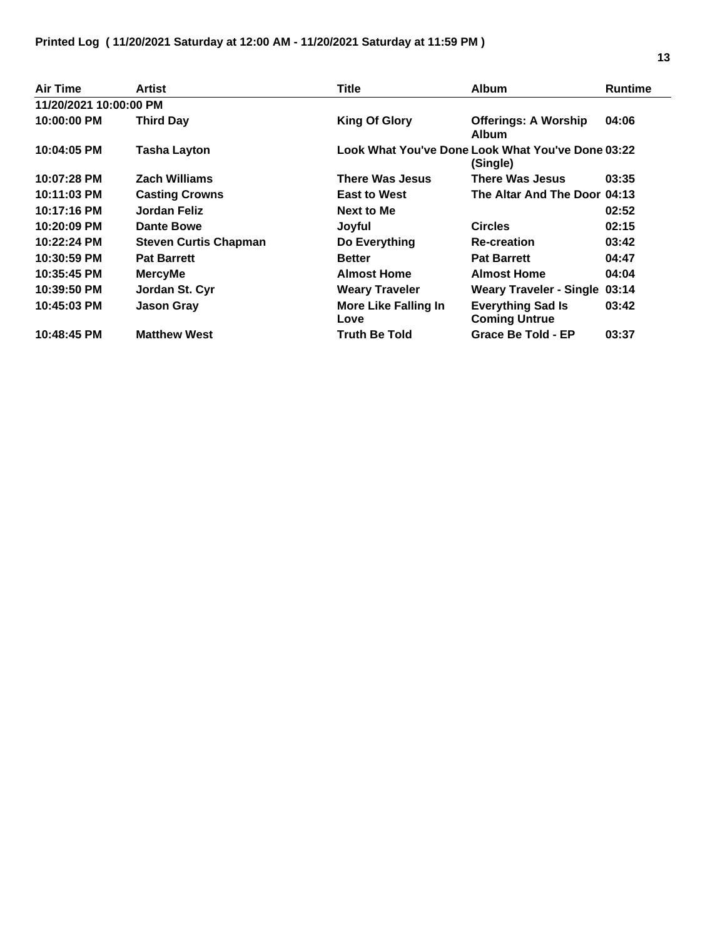| Air Time               | Artist                       | <b>Title</b>                        | <b>Album</b>                                                  | <b>Runtime</b> |
|------------------------|------------------------------|-------------------------------------|---------------------------------------------------------------|----------------|
| 11/20/2021 10:00:00 PM |                              |                                     |                                                               |                |
| 10:00:00 PM            | <b>Third Day</b>             | <b>King Of Glory</b>                | <b>Offerings: A Worship</b><br><b>Album</b>                   | 04:06          |
| 10:04:05 PM            | <b>Tasha Layton</b>          |                                     | Look What You've Done Look What You've Done 03:22<br>(Single) |                |
| 10:07:28 PM            | <b>Zach Williams</b>         | <b>There Was Jesus</b>              | There Was Jesus                                               | 03:35          |
| 10:11:03 PM            | <b>Casting Crowns</b>        | <b>East to West</b>                 | The Altar And The Door 04:13                                  |                |
| 10:17:16 PM            | Jordan Feliz                 | Next to Me                          |                                                               | 02:52          |
| 10:20:09 PM            | Dante Bowe                   | Joyful                              | <b>Circles</b>                                                | 02:15          |
| 10:22:24 PM            | <b>Steven Curtis Chapman</b> | Do Everything                       | <b>Re-creation</b>                                            | 03:42          |
| 10:30:59 PM            | <b>Pat Barrett</b>           | <b>Better</b>                       | <b>Pat Barrett</b>                                            | 04:47          |
| 10:35:45 PM            | <b>MercyMe</b>               | <b>Almost Home</b>                  | <b>Almost Home</b>                                            | 04:04          |
| 10:39:50 PM            | Jordan St. Cyr               | <b>Weary Traveler</b>               | <b>Weary Traveler - Single 03:14</b>                          |                |
| 10:45:03 PM            | <b>Jason Gray</b>            | <b>More Like Falling In</b><br>Love | <b>Everything Sad Is</b><br><b>Coming Untrue</b>              | 03:42          |
| 10:48:45 PM            | <b>Matthew West</b>          | Truth Be Told                       | <b>Grace Be Told - EP</b>                                     | 03:37          |